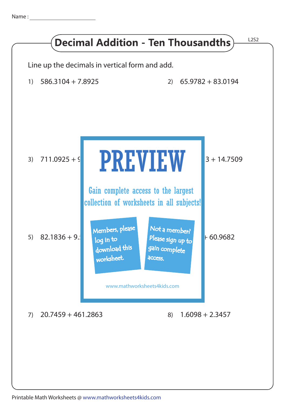